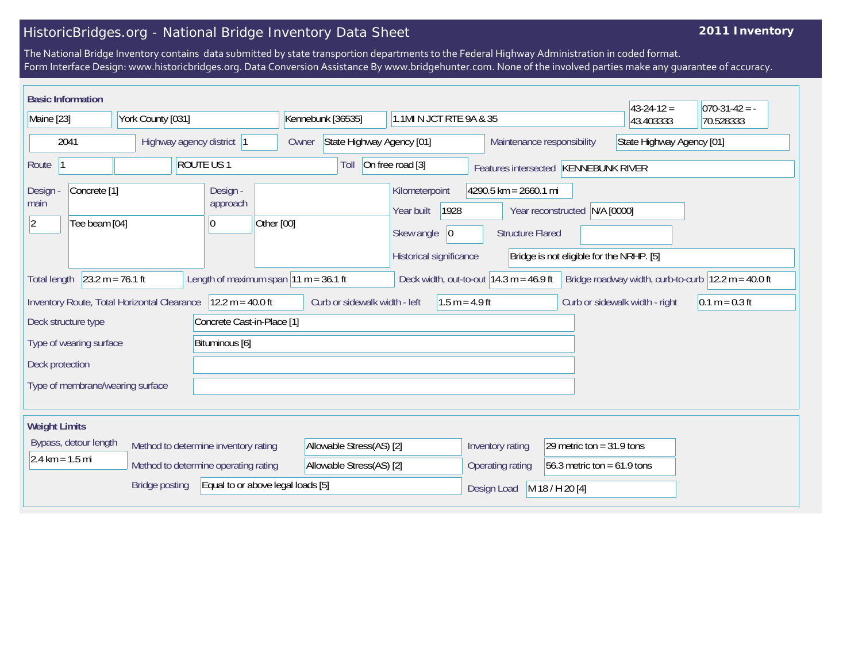## HistoricBridges.org - National Bridge Inventory Data Sheet

## **2011 Inventory**

The National Bridge Inventory contains data submitted by state transportion departments to the Federal Highway Administration in coded format. Form Interface Design: www.historicbridges.org. Data Conversion Assistance By www.bridgehunter.com. None of the involved parties make any guarantee of accuracy.

| <b>Basic Information</b>                                          |                                                               |                                  |           |                                         |                                                   |                                    |                          |                                                                       |                         |                                |                                                         |                                                                | $43 - 24 - 12 =$ | $ 070-31-42 = -$                                                        |
|-------------------------------------------------------------------|---------------------------------------------------------------|----------------------------------|-----------|-----------------------------------------|---------------------------------------------------|------------------------------------|--------------------------|-----------------------------------------------------------------------|-------------------------|--------------------------------|---------------------------------------------------------|----------------------------------------------------------------|------------------|-------------------------------------------------------------------------|
| Maine [23]                                                        |                                                               | York County [031]                |           |                                         |                                                   | Kennebunk [36535]                  |                          |                                                                       | 1.1MI N JCT RTE 9A & 35 |                                |                                                         |                                                                | 43.403333        | 70.528333                                                               |
| 2041                                                              |                                                               | Highway agency district  1       |           |                                         |                                                   | State Highway Agency [01]<br>Owner |                          |                                                                       |                         |                                | State Highway Agency [01]<br>Maintenance responsibility |                                                                |                  |                                                                         |
| Route                                                             |                                                               |                                  | ROUTE US1 |                                         |                                                   |                                    | Toll                     | On free road [3]                                                      |                         |                                |                                                         | Features intersected KENNEBUNK RIVER                           |                  |                                                                         |
| Design<br>main<br>$ 2\rangle$                                     | Concrete <sup>[1]</sup><br>Tee beam [04]                      |                                  |           | Design -<br>approach<br>10              | Other [00]                                        |                                    |                          | Kilometerpoint<br>Year built<br>Skew angle<br>Historical significance | 1928<br>$ 0\rangle$     |                                | $4290.5$ km = 2660.1 mi<br><b>Structure Flared</b>      | Year reconstructed<br>Bridge is not eligible for the NRHP. [5] | N/A [0000]       |                                                                         |
| <b>Total length</b>                                               | $23.2 m = 76.1 ft$                                            |                                  |           | Length of maximum span $11 m = 36.1 ft$ |                                                   |                                    |                          |                                                                       |                         |                                | Deck width, out-to-out $14.3$ m = 46.9 ft               |                                                                |                  | Bridge roadway width, curb-to-curb $ 12.2 \text{ m} = 40.0 \text{ ft} $ |
| $12.2 m = 40.0 ft$<br>Inventory Route, Total Horizontal Clearance |                                                               |                                  |           |                                         | Curb or sidewalk width - left<br>$1.5 m = 4.9 ft$ |                                    |                          |                                                                       |                         | Curb or sidewalk width - right | $0.1 m = 0.3 ft$                                        |                                                                |                  |                                                                         |
| Concrete Cast-in-Place [1]<br>Deck structure type                 |                                                               |                                  |           |                                         |                                                   |                                    |                          |                                                                       |                         |                                |                                                         |                                                                |                  |                                                                         |
| Bituminous [6]<br>Type of wearing surface                         |                                                               |                                  |           |                                         |                                                   |                                    |                          |                                                                       |                         |                                |                                                         |                                                                |                  |                                                                         |
| Deck protection                                                   |                                                               |                                  |           |                                         |                                                   |                                    |                          |                                                                       |                         |                                |                                                         |                                                                |                  |                                                                         |
|                                                                   |                                                               | Type of membrane/wearing surface |           |                                         |                                                   |                                    |                          |                                                                       |                         |                                |                                                         |                                                                |                  |                                                                         |
|                                                                   |                                                               |                                  |           |                                         |                                                   |                                    |                          |                                                                       |                         |                                |                                                         |                                                                |                  |                                                                         |
| <b>Weight Limits</b>                                              |                                                               |                                  |           |                                         |                                                   |                                    |                          |                                                                       |                         |                                |                                                         |                                                                |                  |                                                                         |
|                                                                   | Bypass, detour length<br>Method to determine inventory rating |                                  |           |                                         | Allowable Stress(AS) [2]                          |                                    |                          |                                                                       |                         | Inventory rating               | 29 metric ton = $31.9$ tons                             |                                                                |                  |                                                                         |
| $2.4 \text{ km} = 1.5 \text{ mi}$                                 |                                                               |                                  |           | Method to determine operating rating    |                                                   |                                    | Allowable Stress(AS) [2] |                                                                       |                         |                                | Operating rating                                        | 56.3 metric ton = $61.9$ tons                                  |                  |                                                                         |
|                                                                   |                                                               | <b>Bridge posting</b>            |           | Equal to or above legal loads [5]       |                                                   |                                    |                          |                                                                       |                         | Design Load                    |                                                         | M 18 / H 20 [4]                                                |                  |                                                                         |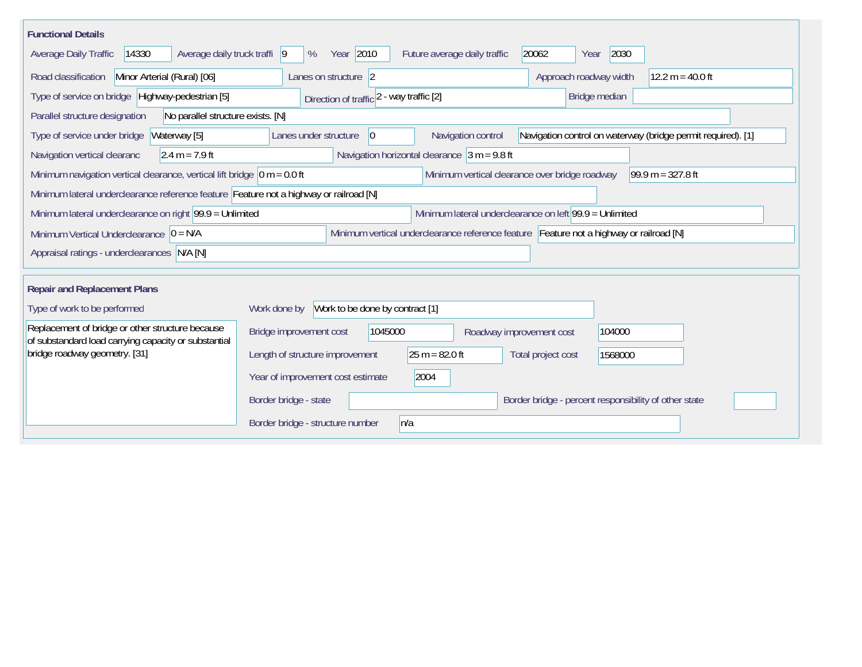| <b>Functional Details</b>                                                                                                                                                     |                                                                                         |  |  |  |  |  |  |  |  |  |  |
|-------------------------------------------------------------------------------------------------------------------------------------------------------------------------------|-----------------------------------------------------------------------------------------|--|--|--|--|--|--|--|--|--|--|
| 14330<br>Average daily truck traffi  9<br>Average Daily Traffic                                                                                                               | Year 2010<br>20062<br>2030<br>%<br>Future average daily traffic<br>Year                 |  |  |  |  |  |  |  |  |  |  |
| Road classification<br>Minor Arterial (Rural) [06]                                                                                                                            | Approach roadway width<br>$12.2 m = 40.0 ft$<br>Lanes on structure 2                    |  |  |  |  |  |  |  |  |  |  |
| Type of service on bridge Highway-pedestrian [5]                                                                                                                              | Bridge median<br>Direction of traffic 2 - way traffic [2]                               |  |  |  |  |  |  |  |  |  |  |
| Parallel structure designation<br>No parallel structure exists. [N]                                                                                                           |                                                                                         |  |  |  |  |  |  |  |  |  |  |
| Navigation control on waterway (bridge permit required). [1]<br>Waterway [5]<br>Navigation control<br>Type of service under bridge<br>Lanes under structure<br>$\overline{0}$ |                                                                                         |  |  |  |  |  |  |  |  |  |  |
| Navigation horizontal clearance $ 3 m = 9.8$ ft<br>$2.4 m = 7.9 ft$<br>Navigation vertical clearanc                                                                           |                                                                                         |  |  |  |  |  |  |  |  |  |  |
| Minimum navigation vertical clearance, vertical lift bridge $\vert$ 0 m = 0.0 ft<br>Minimum vertical clearance over bridge roadway<br>$99.9 m = 327.8 ft$                     |                                                                                         |  |  |  |  |  |  |  |  |  |  |
| Minimum lateral underclearance reference feature Feature not a highway or railroad [N]                                                                                        |                                                                                         |  |  |  |  |  |  |  |  |  |  |
| Minimum lateral underclearance on left 99.9 = Unlimited<br>Minimum lateral underclearance on right $99.9 =$ Unlimited                                                         |                                                                                         |  |  |  |  |  |  |  |  |  |  |
| Minimum Vertical Underclearance $ 0 = N/A$                                                                                                                                    | Minimum vertical underclearance reference feature Feature not a highway or railroad [N] |  |  |  |  |  |  |  |  |  |  |
| Appraisal ratings - underclearances N/A [N]                                                                                                                                   |                                                                                         |  |  |  |  |  |  |  |  |  |  |
|                                                                                                                                                                               |                                                                                         |  |  |  |  |  |  |  |  |  |  |
| <b>Repair and Replacement Plans</b>                                                                                                                                           |                                                                                         |  |  |  |  |  |  |  |  |  |  |
| Type of work to be performed                                                                                                                                                  | Work to be done by contract [1]<br>Work done by                                         |  |  |  |  |  |  |  |  |  |  |
| Replacement of bridge or other structure because<br>of substandard load carrying capacity or substantial                                                                      | 1045000<br>104000<br>Bridge improvement cost<br>Roadway improvement cost                |  |  |  |  |  |  |  |  |  |  |
| bridge roadway geometry. [31]                                                                                                                                                 | $25 m = 82.0 ft$<br>Length of structure improvement<br>Total project cost<br>1568000    |  |  |  |  |  |  |  |  |  |  |
|                                                                                                                                                                               | 2004<br>Year of improvement cost estimate                                               |  |  |  |  |  |  |  |  |  |  |
|                                                                                                                                                                               | Border bridge - state<br>Border bridge - percent responsibility of other state          |  |  |  |  |  |  |  |  |  |  |
|                                                                                                                                                                               | Border bridge - structure number<br>n/a                                                 |  |  |  |  |  |  |  |  |  |  |